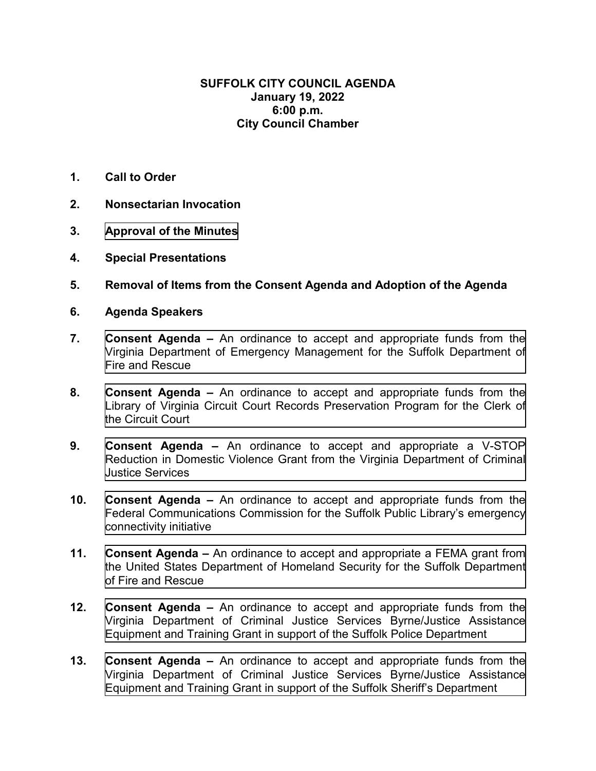## **SUFFOLK CITY COUNCIL AGENDA January 19, 2022 6:00 p.m. City Council Chamber**

- **1. Call to Order**
- **2. Nonsectarian Invocation**
- **3. [Approval of the Minutes](#page--1-0)**
- **4. Special Presentations**
- **5. Removal of Items from the Consent Agenda and Adoption of the Agenda**
- **6. Agenda Speakers**
- **7. Consent Agenda** An ordinance to accept and appropriate funds from the [Virginia Department of Emergency Management for the Suffolk Department of](#page--1-0) Fire and Rescue
- **8. Consent Agenda** An ordinance to accept and appropriate funds from the [Library of Virginia Circuit Court Records Preservation Program for the Clerk of](#page--1-0) the Circuit Court
- **9. Consent Agenda** An ordinance to accept and appropriate a V-STOP [Reduction in Domestic Violence Grant from the Virginia Department of Criminal](#page--1-0) Justice Services
- **10. Consent Agenda** An ordinance to accept and appropriate funds from the [Federal Communications Commission for the Suffolk Public Library's emergency](#page--1-0) connectivity initiative
- **11. Consent Agenda** An ordinance to accept and appropriate a FEMA grant from [the United States Department of Homeland Security for the Suffolk Department](#page--1-0)  of Fire and Rescue
- **12. Consent Agenda** An ordinance to accept and appropriate funds from the [Virginia Department of Criminal Justice Services Byrne/Justice Assistance](#page--1-0) Equipment and Training Grant in support of the Suffolk Police Department
- **13. Consent Agenda** An ordinance to accept and appropriate funds from the [Virginia Department of Criminal Justice Services Byrne/Justice Assistance](#page--1-0) Equipment and Training Grant in support of the Suffolk Sheriff's Department